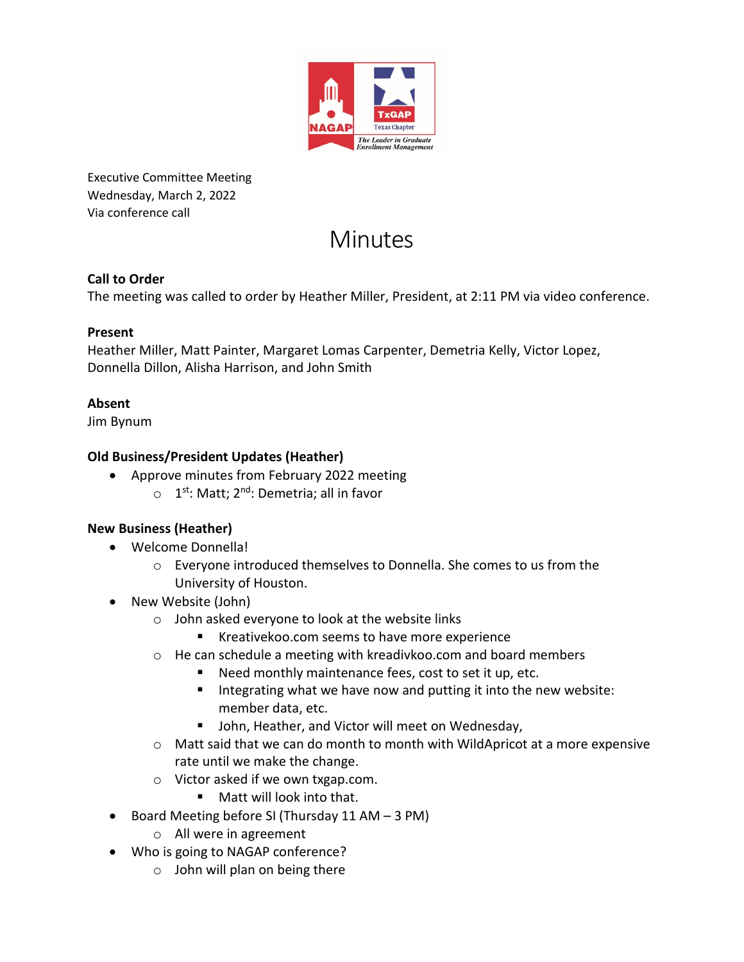

Executive Committee Meeting Wednesday, March 2, 2022 Via conference call

# **Minutes**

#### **Call to Order**

The meeting was called to order by Heather Miller, President, at 2:11 PM via video conference.

#### **Present**

Heather Miller, Matt Painter, Margaret Lomas Carpenter, Demetria Kelly, Victor Lopez, Donnella Dillon, Alisha Harrison, and John Smith

# **Absent**

Jim Bynum

#### **Old Business/President Updates (Heather)**

- Approve minutes from February 2022 meeting
	- $\circ$  1<sup>st</sup>: Matt; 2<sup>nd</sup>: Demetria; all in favor

# **New Business (Heather)**

- Welcome Donnella!
	- o Everyone introduced themselves to Donnella. She comes to us from the University of Houston.
- New Website (John)
	- o John asked everyone to look at the website links
		- Kreativekoo.com seems to have more experience
	- o He can schedule a meeting with kreadivkoo.com and board members
		- Need monthly maintenance fees, cost to set it up, etc.
		- Integrating what we have now and putting it into the new website: member data, etc.
		- **John, Heather, and Victor will meet on Wednesday,**
	- $\circ$  Matt said that we can do month to month with WildApricot at a more expensive rate until we make the change.
	- o Victor asked if we own txgap.com.
		- Matt will look into that.
- Board Meeting before SI (Thursday 11 AM 3 PM)
	- o All were in agreement
- Who is going to NAGAP conference?
	- $\circ$  John will plan on being there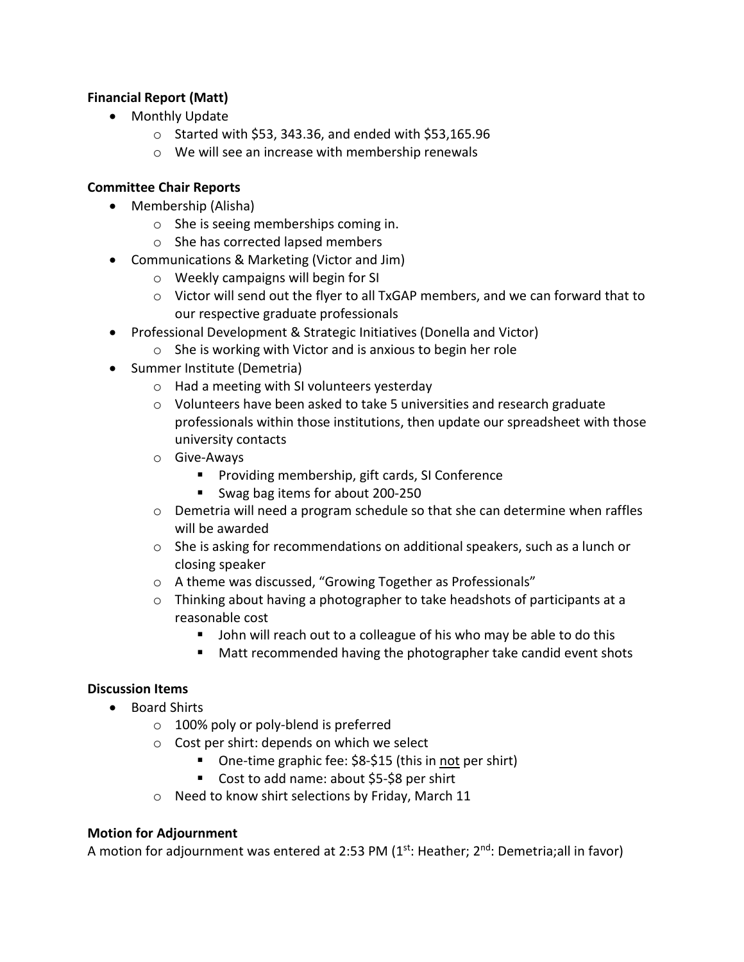#### **Financial Report (Matt)**

- Monthly Update
	- $\circ$  Started with \$53, 343.36, and ended with \$53,165.96
	- o We will see an increase with membership renewals

#### **Committee Chair Reports**

- Membership (Alisha)
	- o She is seeing memberships coming in.
	- o She has corrected lapsed members
- Communications & Marketing (Victor and Jim)
	- o Weekly campaigns will begin for SI
	- $\circ$  Victor will send out the flyer to all TxGAP members, and we can forward that to our respective graduate professionals
- Professional Development & Strategic Initiatives (Donella and Victor)
	- o She is working with Victor and is anxious to begin her role
- Summer Institute (Demetria)
	- o Had a meeting with SI volunteers yesterday
	- $\circ$  Volunteers have been asked to take 5 universities and research graduate professionals within those institutions, then update our spreadsheet with those university contacts
	- o Give-Aways
		- **Providing membership, gift cards, SI Conference**
		- Swag bag items for about 200-250
	- o Demetria will need a program schedule so that she can determine when raffles will be awarded
	- o She is asking for recommendations on additional speakers, such as a lunch or closing speaker
	- o A theme was discussed, "Growing Together as Professionals"
	- o Thinking about having a photographer to take headshots of participants at a reasonable cost
		- **John will reach out to a colleague of his who may be able to do this**
		- Matt recommended having the photographer take candid event shots

#### **Discussion Items**

- Board Shirts
	- o 100% poly or poly-blend is preferred
	- o Cost per shirt: depends on which we select
		- One-time graphic fee: \$8-\$15 (this in not per shirt)
		- Cost to add name: about \$5-\$8 per shirt
	- o Need to know shirt selections by Friday, March 11

#### **Motion for Adjournment**

A motion for adjournment was entered at 2:53 PM  $(1<sup>st</sup>:$  Heather;  $2<sup>nd</sup>:$  Demetria;all in favor)